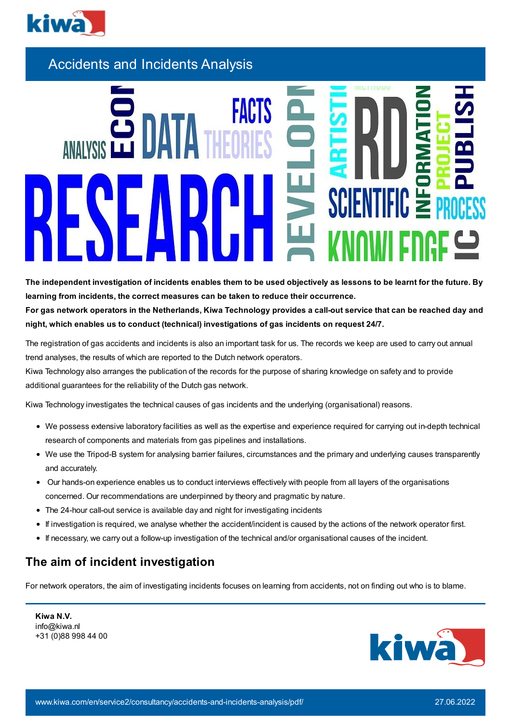

Accidents and Incidents Analysis

IFIC 5

The independent investigation of incidents enables them to be used objectively as lessons to be learnt for the future. By **learning from incidents, the correct measures can be taken to reduce their occurrence.** For gas network operators in the Netherlands, Kiwa Technology provides a call-out service that can be reached day and

**night, which enables us to conduct (technical) investigations of gas incidents on request 24/7.**

The registration of gas accidents and incidents is also an important task for us. The records we keep are used to carry out annual trend analyses, the results of which are reported to the Dutch network operators.

Kiwa Technology also arranges the publication of the records for the purpose of sharing knowledge on safety and to provide additional guarantees for the reliability of the Dutch gas network.

Kiwa Technology investigates the technical causes of gas incidents and the underlying (organisational) reasons.

- We possess extensive laboratory facilities as well as the expertise and experience required for carrying out in-depth technical research of components and materials from gas pipelines and installations.
- We use the Tripod-B system for analysing barrier failures, circumstances and the primary and underlying causes transparently and accurately.
- Our hands-on experience enables us to conduct interviews effectively with people from all layers of the organisations concerned. Our recommendations are underpinned by theory and pragmatic by nature.
- The 24-hour call-out service is available day and night for investigating incidents
- If investigation is required, we analyse whether the accident/incident is caused by the actions of the network operator first.
- If necessary, we carry out a follow-up investigation of the technical and/or organisational causes of the incident.

## **The aim of incident investigation**

For network operators, the aim of investigating incidents focuses on learning from accidents, not on finding out who is to blame.

**Kiwa N.V.** info@kiwa.nl +31 (0)88 998 44 00